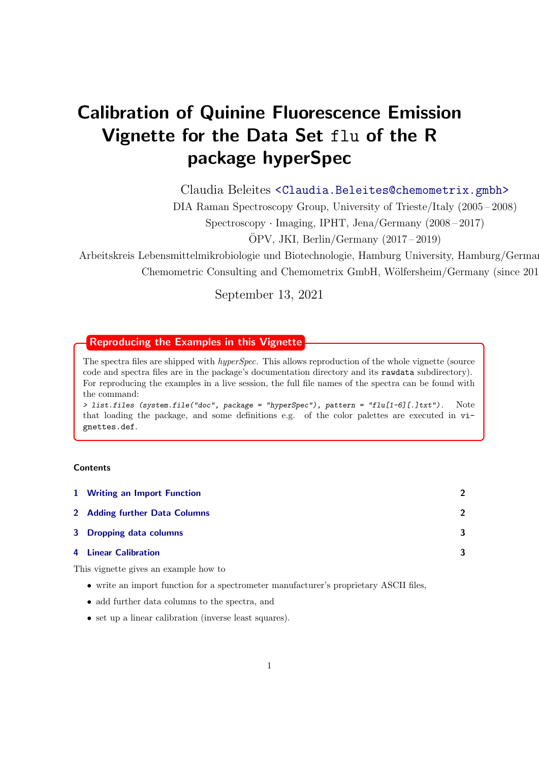# Calibration of Quinine Fluorescence Emission Vignette for the Data Set flu of the R package hyperSpec

Claudia Beleites <<Claudia.Beleites@chemometrix.gmbh>>

DIA Raman Spectroscopy Group, University of Trieste/Italy (2005 – 2008)

Spectroscopy · Imaging, IPHT, Jena/Germany (2008 – 2017)

 $\text{OPV}, \text{JKI}, \text{Berlin}/\text{Germany} (2017-2019)$ 

Arbeitskreis Lebensmittelmikrobiologie und Biotechnologie, Hamburg University, Hamburg/German Chemometric Consulting and Chemometrix GmbH, Wölfersheim/Germany (since 201

September 13, 2021

# Reproducing the Examples in this Vignette

The spectra files are shipped with *hyperSpec*. This allows reproduction of the whole vignette (source code and spectra files are in the package's documentation directory and its rawdata subdirectory). For reproducing the examples in a live session, the full file names of the spectra can be found with the command:

> list.files (system.file("doc", package = "hyperSpec"), pattern = "flu[1-6][.]txt"). Note that loading the package, and some definitions e.g. of the color palettes are executed in vignettes.def.

## **Contents**

| 1 Writing an Import Function  | $\mathcal{P}$ |
|-------------------------------|---------------|
| 2 Adding further Data Columns | $\mathcal{P}$ |
| 3 Dropping data columns       | 3             |
| 4 Linear Calibration          | 3             |

This vignette gives an example how to

- write an import function for a spectrometer manufacturer's proprietary ASCII files,
- add further data columns to the spectra, and
- set up a linear calibration (inverse least squares).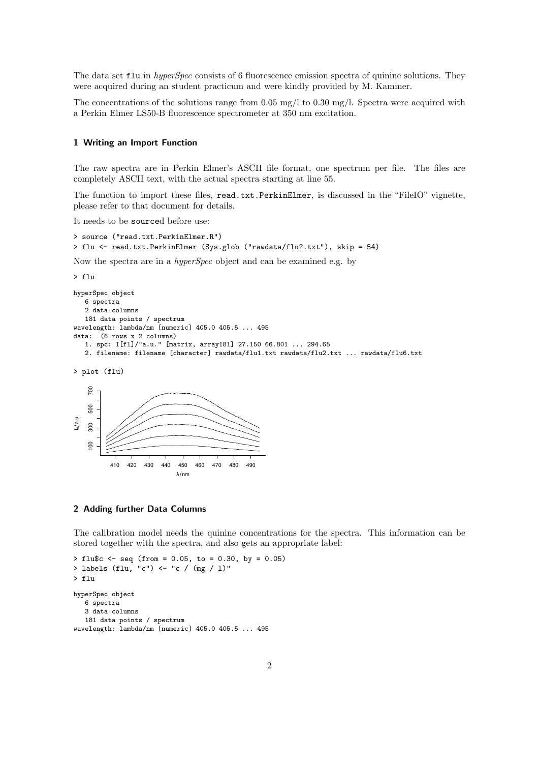The data set flu in *hyperSpec* consists of 6 fluorescence emission spectra of quinine solutions. They were acquired during an student practicum and were kindly provided by M. Kammer.

The concentrations of the solutions range from 0.05 mg/l to 0.30 mg/l. Spectra were acquired with a Perkin Elmer LS50-B fluorescence spectrometer at 350 nm excitation.

#### <span id="page-1-0"></span>1 Writing an Import Function

The raw spectra are in Perkin Elmer's ASCII file format, one spectrum per file. The files are completely ASCII text, with the actual spectra starting at line 55.

The function to import these files, read.txt.PerkinElmer, is discussed in the "FileIO" vignette, please refer to that document for details.

It needs to be sourced before use:

```
> source ("read.txt.PerkinElmer.R")
> flu <- read.txt.PerkinElmer (Sys.glob ("rawdata/flu?.txt"), skip = 54)
```
Now the spectra are in a hyperSpec object and can be examined e.g. by

```
> flu
hyperSpec object
   6 spectra
   2 data columns
   181 data points / spectrum
wavelength: lambda/nm [numeric] 405.0 405.5 ... 495
data: (6 rows x 2 columns)
   1. spc: I[fl]/"a.u." [matrix, array181] 27.150 66.801 ... 294.65
   2. filename: filename [character] rawdata/flu1.txt rawdata/flu2.txt ... rawdata/flu6.txt
```
> plot (flu)



#### <span id="page-1-1"></span>2 Adding further Data Columns

The calibration model needs the quinine concentrations for the spectra. This information can be stored together with the spectra, and also gets an appropriate label:

 $>$  flu\$c <- seq (from = 0.05, to = 0.30, by = 0.05) > labels (flu, "c") <- "c / (mg / l)" > flu hyperSpec object 6 spectra 3 data columns 181 data points / spectrum wavelength: lambda/nm [numeric] 405.0 405.5 ... 495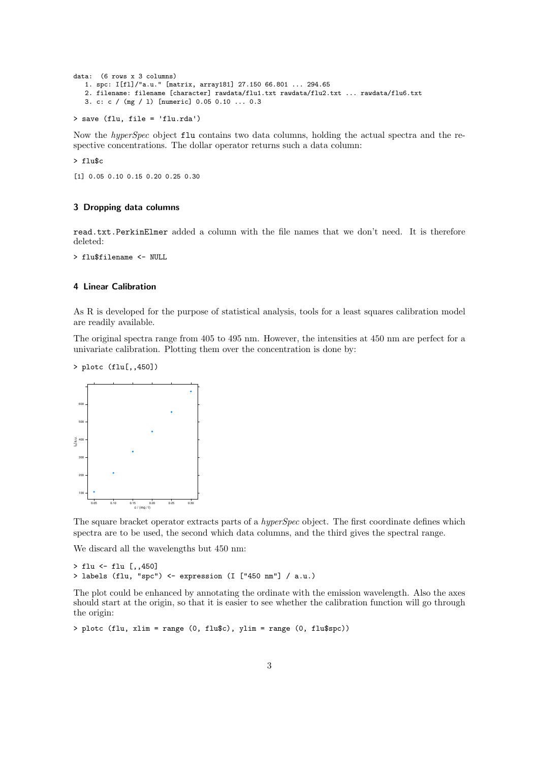```
data: (6 rows x 3 columns)
   1. spc: I[fl]/"a.u." [matrix, array181] 27.150 66.801 ... 294.65
   2. filename: filename [character] rawdata/flu1.txt rawdata/flu2.txt ... rawdata/flu6.txt
   3. c: c / (mg / l) [numeric] 0.05 0.10 ... 0.3
```

```
> save (flu, file = 'flu.rda')
```
Now the *hyperSpec* object  $\texttt{flu}$  contains two data columns, holding the actual spectra and the respective concentrations. The dollar operator returns such a data column:

> flu\$c

[1] 0.05 0.10 0.15 0.20 0.25 0.30

#### <span id="page-2-0"></span>3 Dropping data columns

read.txt.PerkinElmer added a column with the file names that we don't need. It is therefore deleted:

> flu\$filename <- NULL

#### <span id="page-2-1"></span>4 Linear Calibration

As R is developed for the purpose of statistical analysis, tools for a least squares calibration model are readily available.

The original spectra range from 405 to 495 nm. However, the intensities at 450 nm are perfect for a univariate calibration. Plotting them over the concentration is done by:

> plotc (flu[,,450])



The square bracket operator extracts parts of a *hyperSpec* object. The first coordinate defines which spectra are to be used, the second which data columns, and the third gives the spectral range.

We discard all the wavelengths but 450 nm:

```
> flu <- flu [,,450]
> labels (flu, "spc") <- expression (I ["450 nm"] / a.u.)
```
The plot could be enhanced by annotating the ordinate with the emission wavelength. Also the axes should start at the origin, so that it is easier to see whether the calibration function will go through the origin:

```
> plotc (flu, xlim = range (0, flu$c), ylim = range (0, flu$spc))
```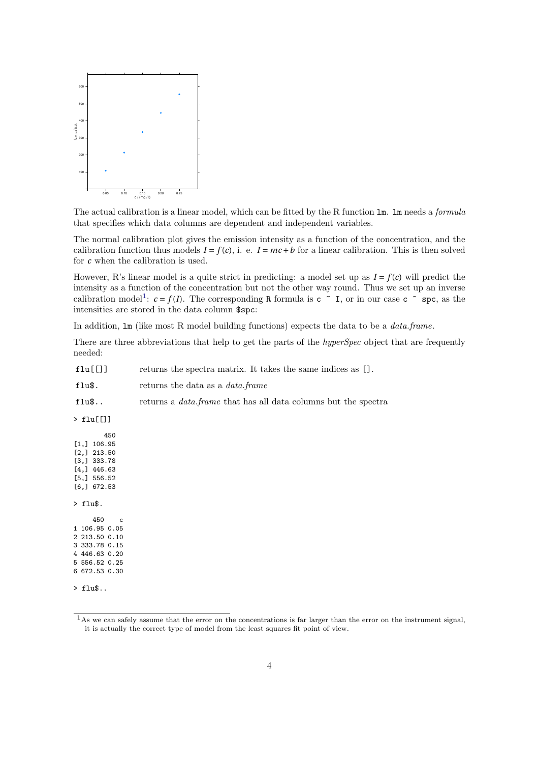

The actual calibration is a linear model, which can be fitted by the R function lm. lm needs a formula that specifies which data columns are dependent and independent variables.

The normal calibration plot gives the emission intensity as a function of the concentration, and the calibration function thus models  $I = f(c)$ , i. e.  $I = mc + b$  for a linear calibration. This is then solved for *c* when the calibration is used.

However, R's linear model is a quite strict in predicting: a model set up as  $I = f(c)$  will predict the intensity as a function of the concentration but not the other way round. Thus we set up an inverse calibration model<sup>[1](#page-3-0)</sup>:  $c = f(I)$ . The corresponding R formula is  $c \sim I$ , or in our case  $c \sim$  spc, as the intensities are stored in the data column \$spc:

In addition,  $\text{Im}$  (like most R model building functions) expects the data to be a *data.frame*.

There are three abbreviations that help to get the parts of the *hyperSpec* object that are frequently needed:

| returns the data as a <i>data.frame</i>                               |
|-----------------------------------------------------------------------|
| returns a <i>data frame</i> that has all data columns but the spectra |
|                                                                       |
|                                                                       |
|                                                                       |
|                                                                       |
|                                                                       |

> flu\$..

<span id="page-3-0"></span> $1<sup>1</sup>$ As we can safely assume that the error on the concentrations is far larger than the error on the instrument signal, it is actually the correct type of model from the least squares fit point of view.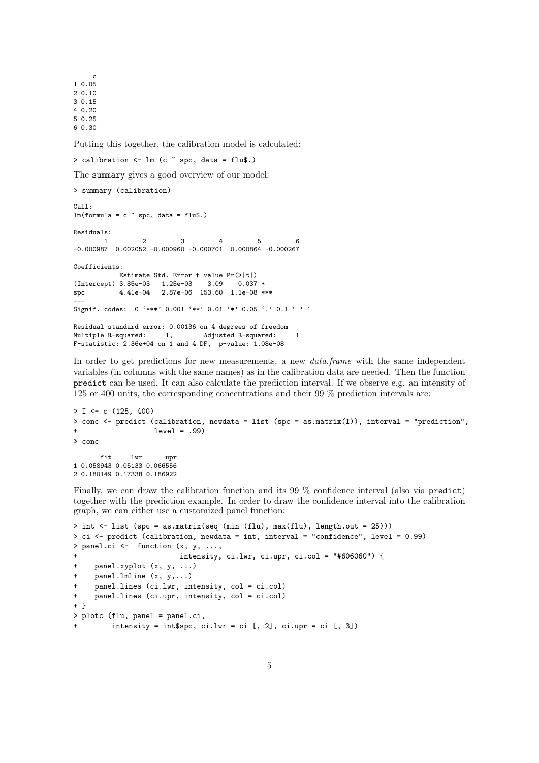c 1 0.05 2 0.10 3 0.15 4 0.20 5 0.25 6 0.30

Putting this together, the calibration model is calculated:

> calibration  $\leq$  1m (c  $\degree$  spc, data = flu\$.)

The summary gives a good overview of our model:

```
> summary (calibration)
C<sub>2</sub>11.
lm(formula = c \tilde{p} spc, data = flu$.)
Residuals:
        1 2 3 4 5 6
-0.000987 0.002052 -0.000960 -0.000701 0.000864 -0.000267
Coefficients:
            Estimate Std. Error t value Pr(>|t|)<br>3.85e-03    1.25e-03    3.09    0.037    *
(Intercept) 3.85e-03 1.25e-03 3.09
spc 4.41e-04 2.87e-06 153.60 1.1e-08 ***
---
Signif. codes: 0 '***' 0.001 '**' 0.01 '*' 0.05 '.' 0.1 ' ' 1
Residual standard error: 0.00136 on 4 degrees of freedom
Multiple R-squared: 1, Adjusted R-squared: 1
F-statistic: 2.36e+04 on 1 and 4 DF, p-value: 1.08e-08
```
In order to get predictions for new measurements, a new *data.frame* with the same independent variables (in columns with the same names) as in the calibration data are needed. Then the function predict can be used. It can also calculate the prediction interval. If we observe e.g. an intensity of 125 or 400 units, the corresponding concentrations and their 99 % prediction intervals are:

```
> I \leftarrow c (125, 400)
> conc <- predict (calibration, newdata = list (spc = as.matrix(I)), interval = "prediction",
+ level = .99)
> conc
      fit lwr upr
1 0.058943 0.05133 0.066556
2 0.180149 0.17338 0.186922
```
Finally, we can draw the calibration function and its 99 % confidence interval (also via predict) together with the prediction example. In order to draw the confidence interval into the calibration graph, we can either use a customized panel function:

```
> int <- list (spc = as.matrix(seq (min (flu), max(flu), length.out = 25)))
> ci <- predict (calibration, newdata = int, interval = "confidence", level = 0.99)
> panel.ci <- function (x, y, \ldots,intensity, ci.lwr, ci.upr, ci.co1 = "#606060") {
     panelxyplot (x, y, ...)+ panel.lmline (x, y,...)
+ panel.lines (ci.lwr, intensity, col = ci.col)
+ panel.lines (ci.upr, intensity, col = ci.col)
+ }
> plotc (flu, panel = panel.ci,
         intensity = int$spc, ci.lwr = ci [, 2], ci.upr = ci [, 3])
```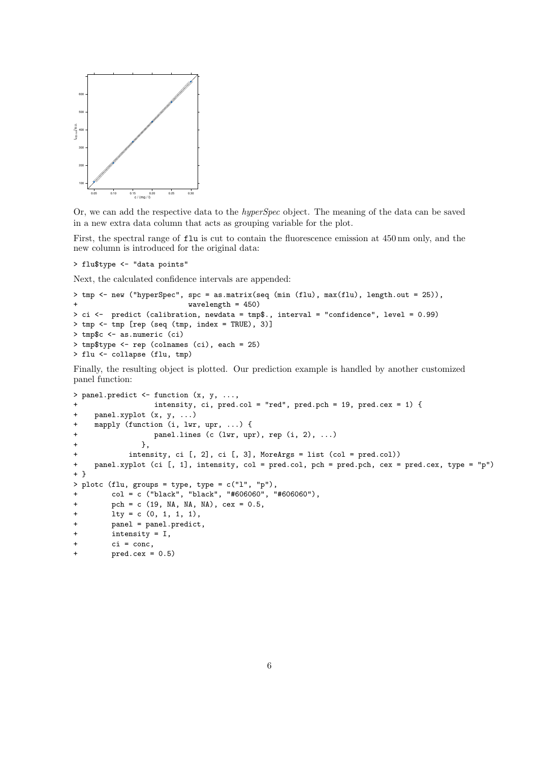

Or, we can add the respective data to the hyperSpec object. The meaning of the data can be saved in a new extra data column that acts as grouping variable for the plot.

First, the spectral range of flu is cut to contain the fluorescence emission at 450 nm only, and the new column is introduced for the original data:

> flu\$type <- "data points"

Next, the calculated confidence intervals are appended:

```
> tmp <- new ("hyperSpec", spc = as.matrix(seq (min (flu), max(flu), length.out = 25)),
                           wavelength = 450)> ci <- predict (calibration, newdata = tmp$., interval = "confidence", level = 0.99)
> tmp <- tmp [rep (seq (tmp, index = TRUE), 3)]
> tmp$c <- as.numeric (ci)
> tmp$type <- rep (colnames (ci), each = 25)
> flu <- collapse (flu, tmp)
```
Finally, the resulting object is plotted. Our prediction example is handled by another customized panel function:

```
> panel.predict <- function (x, y, ...,
                 intensity, ci, pred.col = "red", pred.pch = 19, pred.cex = 1) { }+ panel.xyplot (x, y, ...)
+ mapply (function (i, lwr, upr, ...) {
+ panel.lines (c (lwr, upr), rep (i, 2), ...)
+ },
+ intensity, ci [, 2], ci [, 3], MoreArgs = list (col = pred.col))
+ panel.xyplot (ci [, 1], intensity, col = pred.col, pch = pred.pch, cex = pred.cex, type = "p")
+ }
> plotc (flu, groups = type, type = c("l", "p"),
+ col = c ("black", "black", "#606060", "#606060"),
+ pch = c (19, NA, NA, NA), cex = 0.5,
+ lty = c (0, 1, 1, 1),
        panel = panel.predict,
        intensity = I,
+ ci = conc,
        pred.cex = 0.5
```